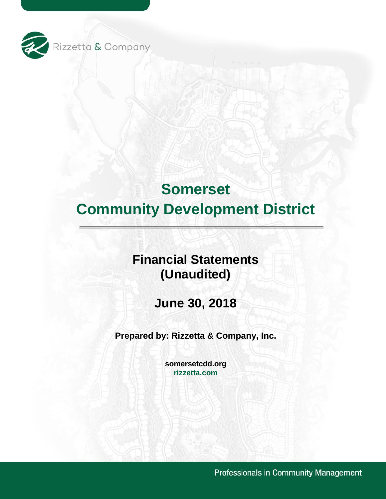

## **Financial Statements (Unaudited)**

**June 30, 2018** 

**Prepared by: Rizzetta & Company, Inc.** 

**[somersetcdd.org](https://somersetcdd.org) [rizzetta.com](https://rizzetta.com)** 

Professionals in Community Management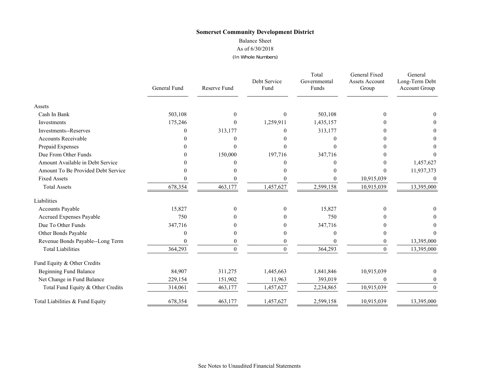#### Balance Sheet

#### As of 6/30/2018

#### (In Whole Numbers)

|                                    | General Fund | <b>Reserve Fund</b> | Debt Service<br>Fund | Total<br>Governmental<br>Funds | General Fixed<br><b>Assets Account</b><br>Group | General<br>Long-Term Debt<br>Account Group |
|------------------------------------|--------------|---------------------|----------------------|--------------------------------|-------------------------------------------------|--------------------------------------------|
| Assets                             |              |                     |                      |                                |                                                 |                                            |
| Cash In Bank                       | 503,108      | $\Omega$            | $\Omega$             | 503,108                        | $\Omega$                                        |                                            |
| Investments                        | 175,246      | $\theta$            | 1,259,911            | 1,435,157                      |                                                 |                                            |
| <b>Investments--Reserves</b>       | 0            | 313,177             | $\Omega$             | 313,177                        |                                                 |                                            |
| <b>Accounts Receivable</b>         |              | 0                   |                      |                                |                                                 |                                            |
| Prepaid Expenses                   |              | $\Omega$            | 0                    |                                |                                                 |                                            |
| Due From Other Funds               | $\mathbf{0}$ | 150,000             | 197,716              | 347,716                        |                                                 |                                            |
| Amount Available in Debt Service   |              | $\Omega$            |                      |                                |                                                 | 1,457,627                                  |
| Amount To Be Provided Debt Service |              | 0                   |                      |                                | $\Omega$                                        | 11,937,373                                 |
| <b>Fixed Assets</b>                |              |                     |                      |                                | 10,915,039                                      | $\theta$                                   |
| <b>Total Assets</b>                | 678,354      | 463,177             | 1,457,627            | 2,599,158                      | 10,915,039                                      | 13,395,000                                 |
| Liabilities                        |              |                     |                      |                                |                                                 |                                            |
| Accounts Payable                   | 15,827       | $\Omega$            | $\Omega$             | 15,827                         | $\Omega$                                        |                                            |
| Accrued Expenses Payable           | 750          | 0                   | 0                    | 750                            |                                                 |                                            |
| Due To Other Funds                 | 347,716      |                     |                      | 347,716                        |                                                 |                                            |
| Other Bonds Payable                | 0            | $\theta$            | 0                    | 0                              |                                                 |                                            |
| Revenue Bonds Payable--Long Term   | 0            | $\theta$            | $\boldsymbol{0}$     |                                | 0                                               | 13,395,000                                 |
| <b>Total Liabilities</b>           | 364,293      | $\Omega$            | $\Omega$             | 364,293                        | $\Omega$                                        | 13,395,000                                 |
| Fund Equity & Other Credits        |              |                     |                      |                                |                                                 |                                            |
| <b>Beginning Fund Balance</b>      | 84,907       | 311,275             | 1,445,663            | 1,841,846                      | 10,915,039                                      |                                            |
| Net Change in Fund Balance         | 229,154      | 151,902             | 11,963               | 393,019                        | $\Omega$                                        | $\theta$                                   |
| Total Fund Equity & Other Credits  | 314,061      | 463,177             | 1,457,627            | 2,234,865                      | 10,915,039                                      | $\Omega$                                   |
| Total Liabilities & Fund Equity    | 678,354      | 463,177             | 1,457,627            | 2,599,158                      | 10,915,039                                      | 13,395,000                                 |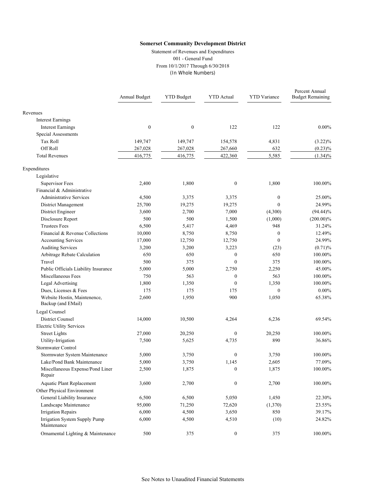Statement of Revenues and Expenditures 001 - General Fund From 10/1/2017 Through 6/30/2018 (In Whole Numbers)

|                                                    | Annual Budget    | <b>YTD Budget</b> | <b>YTD</b> Actual | <b>YTD</b> Variance | Percent Annual<br><b>Budget Remaining</b> |
|----------------------------------------------------|------------------|-------------------|-------------------|---------------------|-------------------------------------------|
| Revenues                                           |                  |                   |                   |                     |                                           |
| <b>Interest Earnings</b>                           |                  |                   |                   |                     |                                           |
| <b>Interest Earnings</b>                           | $\boldsymbol{0}$ | $\boldsymbol{0}$  | 122               | 122                 | $0.00\%$                                  |
| Special Assessments                                |                  |                   |                   |                     |                                           |
| Tax Roll                                           | 149,747          | 149,747           | 154,578           | 4,831               | $(3.22)\%$                                |
| Off Roll                                           | 267,028          | 267,028           | 267,660           | 632                 | $(0.23)\%$                                |
| <b>Total Revenues</b>                              | 416,775          | 416,775           | 422,360           | 5,585               | $(1.34)\%$                                |
| Expenditures                                       |                  |                   |                   |                     |                                           |
| Legislative                                        |                  |                   |                   |                     |                                           |
| Supervisor Fees                                    | 2,400            | 1,800             | $\boldsymbol{0}$  | 1,800               | 100.00%                                   |
| Financial & Administrative                         |                  |                   |                   |                     |                                           |
| <b>Administrative Services</b>                     | 4,500            | 3,375             | 3,375             | $\mathbf{0}$        | 25.00%                                    |
| District Management                                | 25,700           | 19,275            | 19,275            | $\theta$            | 24.99%                                    |
| District Engineer                                  | 3,600            | 2,700             | 7,000             | (4,300)             | $(94.44)\%$                               |
| Disclosure Report                                  | 500              | 500               | 1,500             | (1,000)             | $(200.00)\%$                              |
| <b>Trustees Fees</b>                               | 6,500            | 5,417             | 4,469             | 948                 | 31.24%                                    |
| Financial & Revenue Collections                    | 10,000           | 8,750             | 8,750             | $\mathbf{0}$        | 12.49%                                    |
| Accounting Services                                | 17,000           | 12,750            | 12,750            | $\mathbf{0}$        | 24.99%                                    |
| <b>Auditing Services</b>                           | 3,200            | 3,200             | 3,223             | (23)                | (0.71)%                                   |
| Arbitrage Rebate Calculation                       | 650              | 650               | $\boldsymbol{0}$  | 650                 | 100.00%                                   |
| Travel                                             | 500              | 375               | $\mathbf{0}$      | 375                 | 100.00%                                   |
| Public Officials Liability Insurance               | 5,000            | 5,000             | 2,750             | 2,250               | 45.00%                                    |
| Miscellaneous Fees                                 | 750              | 563               | $\boldsymbol{0}$  | 563                 | 100.00%                                   |
| Legal Advertising                                  | 1,800            | 1,350             | $\mathbf{0}$      | 1,350               | 100.00%                                   |
| Dues, Licenses & Fees                              | 175              | 175               | 175               | $\theta$            | $0.00\%$                                  |
| Website Hostin, Maintenence,<br>Backup (and EMail) | 2,600            | 1,950             | 900               | 1,050               | 65.38%                                    |
| Legal Counsel                                      |                  |                   |                   |                     |                                           |
| <b>District Counsel</b>                            | 14,000           | 10,500            | 4,264             | 6,236               | 69.54%                                    |
| <b>Electric Utility Services</b>                   |                  |                   |                   |                     |                                           |
| <b>Street Lights</b>                               | 27,000           | 20,250            | $\boldsymbol{0}$  | 20,250              | 100.00%                                   |
| Utility-Irrigation                                 | 7,500            | 5,625             | 4,735             | 890                 | 36.86%                                    |
| Stormwater Control                                 |                  |                   |                   |                     |                                           |
| Stormwater System Maintenance                      | 5,000            | 3,750             | $\boldsymbol{0}$  | 3,750               | 100.00%                                   |
| Lake/Pond Bank Maintenance                         | 5,000            | 3,750             | 1,145             | 2,605               | 77.09%                                    |
| Miscellaneous Expense/Pond Liner<br>Repair         | 2,500            | 1,875             | $\mathbf{0}$      | 1,875               | 100.00%                                   |
| <b>Aquatic Plant Replacement</b>                   | 3,600            | 2,700             | $\boldsymbol{0}$  | 2,700               | 100.00%                                   |
| Other Physical Environment                         |                  |                   |                   |                     |                                           |
| General Liability Insurance                        | 6,500            | 6,500             | 5,050             | 1,450               | 22.30%                                    |
| Landscape Maintenance                              | 95,000           | 71,250            | 72,620            | (1,370)             | 23.55%                                    |
| <b>Irrigation Repairs</b>                          | 6,000            | 4,500             | 3,650             | 850                 | 39.17%                                    |
| Irrigation System Supply Pump<br>Maintenance       | 6,000            | 4,500             | 4,510             | (10)                | 24.82%                                    |
| Ornamental Lighting & Maintenance                  | 500              | 375               | $\boldsymbol{0}$  | 375                 | 100.00%                                   |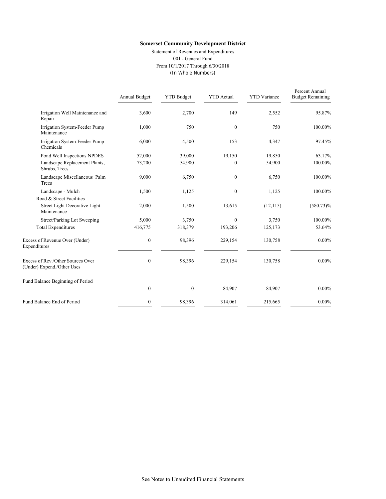Statement of Revenues and Expenditures 001 - General Fund From 10/1/2017 Through 6/30/2018 (In Whole Numbers)

|                                                                 | Annual Budget    | <b>YTD Budget</b> | <b>YTD</b> Actual | <b>YTD</b> Variance | Percent Annual<br><b>Budget Remaining</b> |
|-----------------------------------------------------------------|------------------|-------------------|-------------------|---------------------|-------------------------------------------|
| Irrigation Well Maintenance and<br>Repair                       | 3,600            | 2,700             | 149               | 2,552               | 95.87%                                    |
| Irrigation System-Feeder Pump<br>Maintenance                    | 1,000            | 750               | $\mathbf{0}$      | 750                 | 100.00%                                   |
| Irrigation System-Feeder Pump<br>Chemicals                      | 6,000            | 4,500             | 153               | 4,347               | 97.45%                                    |
| Pond Well Inspections NPDES                                     | 52,000           | 39,000            | 19,150            | 19,850              | 63.17%                                    |
| Landscape Replacement Plants,<br>Shrubs, Trees                  | 73,200           | 54,900            | $\Omega$          | 54,900              | 100.00%                                   |
| Landscape Miscellaneous Palm<br>Trees                           | 9,000            | 6,750             | $\mathbf{0}$      | 6,750               | 100.00%                                   |
| Landscape - Mulch                                               | 1,500            | 1,125             | $\theta$          | 1,125               | 100.00%                                   |
| Road & Street Facilities                                        |                  |                   |                   |                     |                                           |
| Street Light Decorative Light<br>Maintenance                    | 2,000            | 1,500             | 13,615            | (12, 115)           | $(580.73)\%$                              |
| Street/Parking Lot Sweeping                                     | 5,000            | 3,750             | $\overline{0}$    | 3,750               | 100.00%                                   |
| <b>Total Expenditures</b>                                       | 416,775          | 318,379           | 193,206           | 125,173             | 53.64%                                    |
| Excess of Revenue Over (Under)<br>Expenditures                  | $\boldsymbol{0}$ | 98,396            | 229,154           | 130,758             | $0.00\%$                                  |
| Excess of Rev./Other Sources Over<br>(Under) Expend./Other Uses | $\boldsymbol{0}$ | 98,396            | 229,154           | 130,758             | $0.00\%$                                  |
| Fund Balance Beginning of Period                                | $\mathbf{0}$     | $\boldsymbol{0}$  | 84,907            | 84,907              | $0.00\%$                                  |
|                                                                 |                  |                   |                   |                     |                                           |
| Fund Balance End of Period                                      | $\boldsymbol{0}$ | 98,396            | 314,061           | 215,665             | $0.00\%$                                  |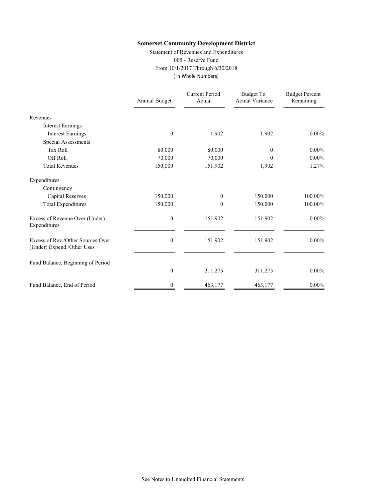Statement of Revenues and Expenditures 005 - Reserve Fund From 10/1/2017 Through 6/30/2018 (In Whole Numbers)

|                                                                 | Annual Budget    | <b>Current Period</b><br>Actual | <b>Budget To</b><br><b>Actual Variance</b> | <b>Budget Percent</b><br>Remaining |
|-----------------------------------------------------------------|------------------|---------------------------------|--------------------------------------------|------------------------------------|
| Revenues                                                        |                  |                                 |                                            |                                    |
| <b>Interest Earnings</b>                                        |                  |                                 |                                            |                                    |
| <b>Interest Earnings</b>                                        | $\boldsymbol{0}$ | 1,902                           | 1,902                                      | $0.00\%$                           |
| <b>Special Assessments</b>                                      |                  |                                 |                                            |                                    |
| <b>Tax Roll</b>                                                 | 80,000           | 80,000                          | 0                                          | $0.00\%$                           |
| Off Roll                                                        | 70,000           | 70,000                          | 0                                          | $0.00\%$                           |
| <b>Total Revenues</b>                                           | 150,000          | 151,902                         | 1,902                                      | 1.27%                              |
| Expenditures                                                    |                  |                                 |                                            |                                    |
| Contingency                                                     |                  |                                 |                                            |                                    |
| <b>Capital Reserves</b>                                         | 150,000          | 0                               | 150,000                                    | 100.00%                            |
| <b>Total Expenditures</b>                                       | 150,000          | $\Omega$                        | 150,000                                    | 100.00%                            |
| Excess of Revenue Over (Under)<br>Expenditures                  | $\boldsymbol{0}$ | 151,902                         | 151,902                                    | $0.00\%$                           |
| Excess of Rev./Other Sources Over<br>(Under) Expend./Other Uses | 0                | 151,902                         | 151,902                                    | $0.00\%$                           |
| Fund Balance, Beginning of Period                               |                  |                                 |                                            |                                    |
|                                                                 | $\boldsymbol{0}$ | 311,275                         | 311,275                                    | $0.00\%$                           |
| Fund Balance, End of Period                                     | 0                | 463,177                         | 463,177                                    | $0.00\%$                           |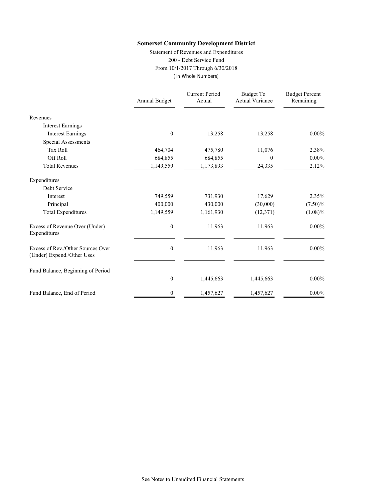Statement of Revenues and Expenditures 200 - Debt Service Fund From 10/1/2017 Through 6/30/2018 (In Whole Numbers)

|                                                                 | Annual Budget    | <b>Current Period</b><br>Actual | <b>Budget To</b><br><b>Actual Variance</b> | <b>Budget Percent</b><br>Remaining |
|-----------------------------------------------------------------|------------------|---------------------------------|--------------------------------------------|------------------------------------|
| Revenues                                                        |                  |                                 |                                            |                                    |
| <b>Interest Earnings</b>                                        |                  |                                 |                                            |                                    |
| <b>Interest Earnings</b>                                        | $\mathbf{0}$     | 13,258                          | 13,258                                     | $0.00\%$                           |
| Special Assessments                                             |                  |                                 |                                            |                                    |
| <b>Tax Roll</b>                                                 | 464,704          | 475,780                         | 11,076                                     | 2.38%                              |
| Off Roll                                                        | 684,855          | 684,855                         | 0                                          | $0.00\%$                           |
| <b>Total Revenues</b>                                           | 1,149,559        | 1,173,893                       | 24,335                                     | 2.12%                              |
| Expenditures                                                    |                  |                                 |                                            |                                    |
| Debt Service                                                    |                  |                                 |                                            |                                    |
| Interest                                                        | 749,559          | 731,930                         | 17,629                                     | 2.35%                              |
| Principal                                                       | 400,000          | 430,000                         | (30,000)                                   | $(7.50)\%$                         |
| <b>Total Expenditures</b>                                       | 1,149,559        | 1,161,930                       | (12, 371)                                  | $(1.08)\%$                         |
| Excess of Revenue Over (Under)<br>Expenditures                  | $\boldsymbol{0}$ | 11,963                          | 11,963                                     | $0.00\%$                           |
| Excess of Rev./Other Sources Over<br>(Under) Expend./Other Uses | $\boldsymbol{0}$ | 11,963                          | 11,963                                     | $0.00\%$                           |
| Fund Balance, Beginning of Period                               |                  |                                 |                                            |                                    |
|                                                                 | $\boldsymbol{0}$ | 1,445,663                       | 1,445,663                                  | $0.00\%$                           |
| Fund Balance, End of Period                                     | 0                | 1,457,627                       | 1,457,627                                  | $0.00\%$                           |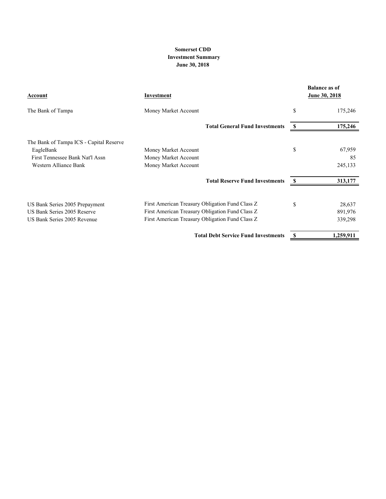#### **Somerset CDD Investment Summary June 30, 2018**

| Account                                 | Investment                                      |    | <b>Balance as of</b><br>June 30, 2018 |
|-----------------------------------------|-------------------------------------------------|----|---------------------------------------|
| The Bank of Tampa                       | Money Market Account                            | \$ | 175,246                               |
|                                         | <b>Total General Fund Investments</b>           | S  | 175,246                               |
| The Bank of Tampa ICS - Capital Reserve |                                                 |    |                                       |
| EagleBank                               | Money Market Account                            | \$ | 67,959                                |
| First Tennessee Bank Nat'l Assn         | Money Market Account                            |    | 85                                    |
| Western Alliance Bank                   | Money Market Account                            |    | 245,133                               |
|                                         | <b>Total Reserve Fund Investments</b>           |    | 313,177                               |
| US Bank Series 2005 Prepayment          | First American Treasury Obligation Fund Class Z | \$ | 28,637                                |
| US Bank Series 2005 Reserve             | First American Treasury Obligation Fund Class Z |    | 891,976                               |
| US Bank Series 2005 Revenue             | First American Treasury Obligation Fund Class Z |    | 339,298                               |
|                                         | <b>Total Debt Service Fund Investments</b>      | S  | 1,259,911                             |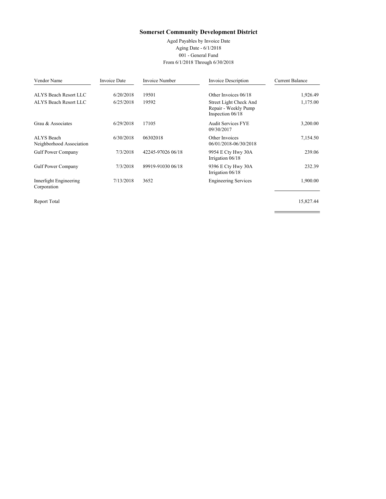Aged Payables by Invoice Date Aging Date - 6/1/2018 001 - General Fund From 6/1/2018 Through 6/30/2018

| Vendor Name                            | Invoice Date | Invoice Number    | <b>Invoice Description</b>                                         | <b>Current Balance</b> |
|----------------------------------------|--------------|-------------------|--------------------------------------------------------------------|------------------------|
| ALYS Beach Resort LLC                  | 6/20/2018    | 19501             | Other Invoices 06/18                                               | 1,926.49               |
| ALYS Beach Resort LLC                  | 6/25/2018    | 19592             | Street Light Check And<br>Repair - Weekly Pump<br>Inspection 06/18 | 1,175.00               |
| Grau & Associates                      | 6/29/2018    | 17105             | <b>Audit Services FYE</b><br>09/30/2017                            | 3,200.00               |
| ALYS Beach<br>Neighborhood Association | 6/30/2018    | 06302018          | Other Invoices<br>06/01/2018-06/30/2018                            | 7,154.50               |
| <b>Gulf Power Company</b>              | 7/3/2018     | 42245-97026 06/18 | 9954 E Cty Hwy 30A<br>Irrigation 06/18                             | 239.06                 |
| <b>Gulf Power Company</b>              | 7/3/2018     | 89919-91030 06/18 | 9396 E Cty Hwy 30A<br>Irrigation 06/18                             | 232.39                 |
| Innerlight Engineering<br>Corporation  | 7/13/2018    | 3652              | <b>Engineering Services</b>                                        | 1,900.00               |

Report Total 15,827.44

÷.